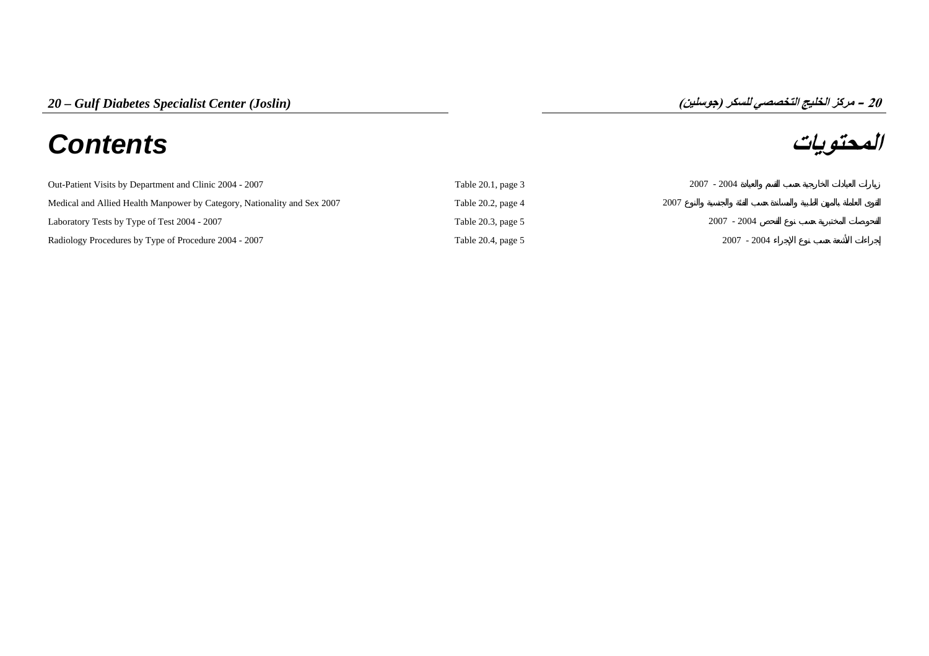# **المحتويات** *Contents*

## **مرآز الخليج التخصصي للسكر (جوسلين) – 20**

| Out-Patient Visits by Department and Clinic 2004 - 2007                  | Table $20.1$ , page $3$ | $2007 - 2004$ |
|--------------------------------------------------------------------------|-------------------------|---------------|
| Medical and Allied Health Manpower by Category, Nationality and Sex 2007 | Table $20.2$ , page $4$ | 2007          |
| Laboratory Tests by Type of Test 2004 - 2007                             | Table $20.3$ , page $5$ | $2007 - 2004$ |
| Radiology Procedures by Type of Procedure 2004 - 2007                    | Table 20.4, page 5      | $2007 - 2004$ |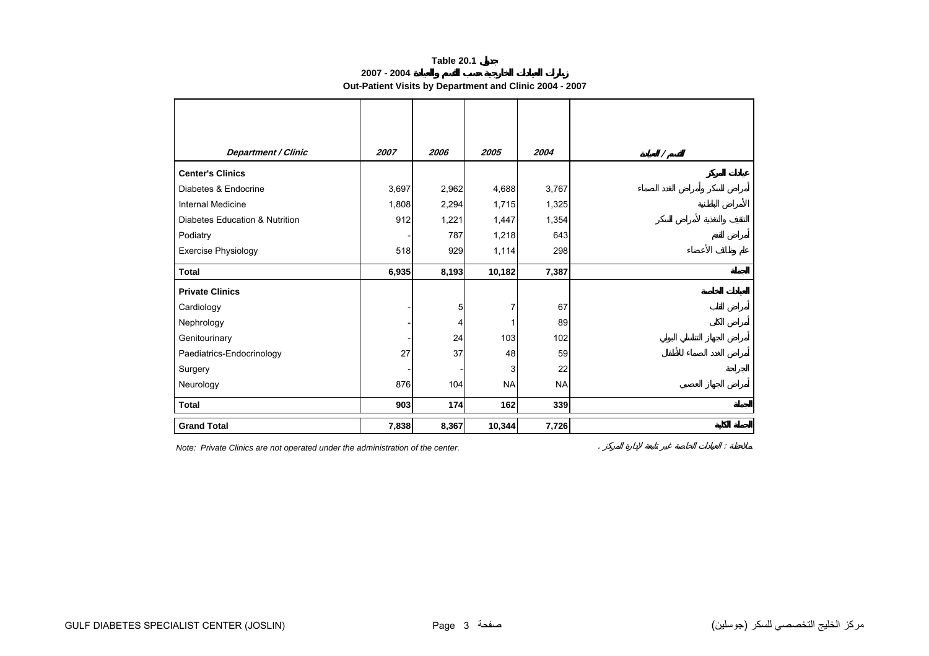## **Table 20.1**

**2007 - 2004**

**Out-Patient Visits by Department and Clinic 2004 - 2007**

<span id="page-1-0"></span>

| <b>Department / Clinic</b>     | 2007  | 2006  | 2005      | 2004      | Τ |
|--------------------------------|-------|-------|-----------|-----------|---|
| <b>Center's Clinics</b>        |       |       |           |           |   |
| Diabetes & Endocrine           | 3,697 | 2,962 | 4,688     | 3,767     |   |
| Internal Medicine              | 1,808 | 2,294 | 1,715     | 1,325     |   |
| Diabetes Education & Nutrition | 912   | 1,221 | 1,447     | 1,354     |   |
| Podiatry                       |       | 787   | 1,218     | 643       |   |
| <b>Exercise Physiology</b>     | 518   | 929   | 1,114     | 298       |   |
| <b>Total</b>                   | 6,935 | 8,193 | 10,182    | 7,387     |   |
| <b>Private Clinics</b>         |       |       |           |           |   |
| Cardiology                     |       | 5     | 7         | 67        |   |
| Nephrology                     |       | 4     | 1         | 89        |   |
| Genitourinary                  |       | 24    | 103       | 102       |   |
| Paediatrics-Endocrinology      | 27    | 37    | 48        | 59        |   |
| Surgery                        |       |       | 3         | 22        |   |
| Neurology                      | 876   | 104   | <b>NA</b> | <b>NA</b> |   |
| <b>Total</b>                   | 903   | 174   | 162       | 339       |   |
| <b>Grand Total</b>             | 7,838 | 8,367 | 10,344    | 7,726     |   |

*Note: Private Clinics are not operated under the administration of the center.* . :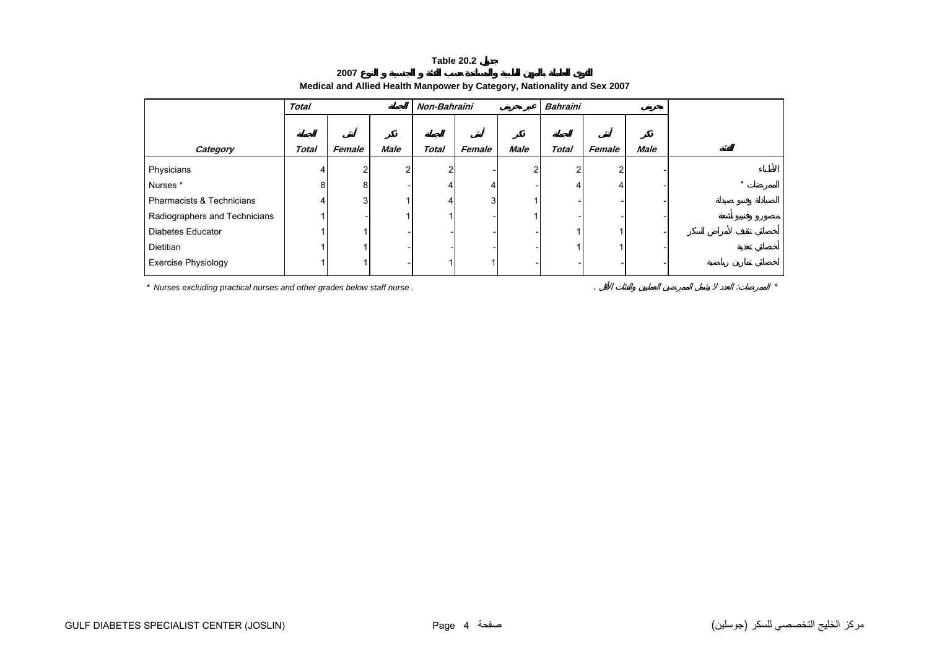#### **Table 20.2**

<span id="page-2-0"></span>

|                               | <b>Total</b> |        |                | Non-Bahraini |        |             | <b>Bahraini</b> |           |             |  |
|-------------------------------|--------------|--------|----------------|--------------|--------|-------------|-----------------|-----------|-------------|--|
|                               |              |        |                |              |        |             |                 |           |             |  |
| Category                      | <b>Total</b> | Female | <b>Male</b>    | <b>Total</b> | Female | <b>Male</b> | <b>Total</b>    | Female    | <b>Male</b> |  |
| Physicians                    | 4            |        | $\overline{2}$ | 2            |        |             | 2               | ົ         |             |  |
| Nurses*                       | 8            | 8      |                |              | 4      |             | 4               | $\lambda$ |             |  |
| Pharmacists & Technicians     | 4            | 3      |                |              | 3      |             |                 |           |             |  |
| Radiographers and Technicians |              |        |                |              |        |             |                 |           |             |  |
| Diabetes Educator             |              |        |                |              |        |             |                 |           |             |  |
| Dietitian                     |              |        |                |              |        |             |                 |           |             |  |
| <b>Exercise Physiology</b>    |              |        |                |              |        |             |                 |           |             |  |

## **Medical and Allied Health Manpower by Category, Nationality and Sex 2007**

*\* Nurses excluding practical nurses and other grades below staff nurse .* . : *\**

**2007**